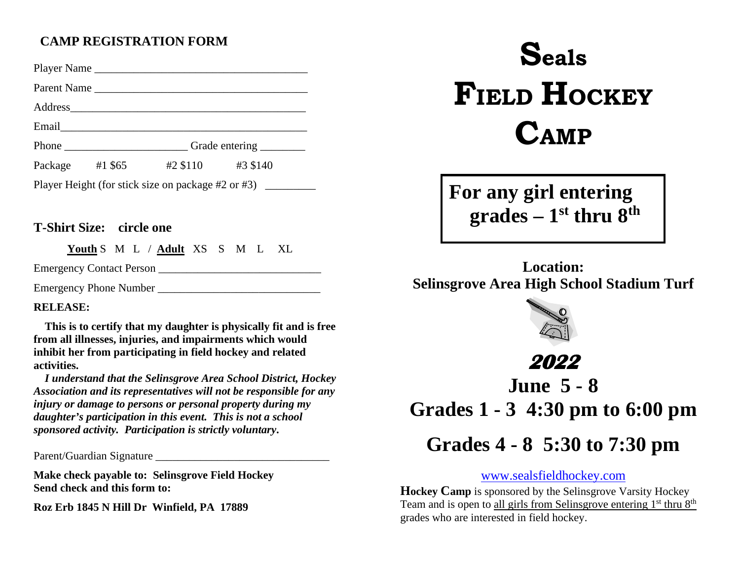## **CAMP REGISTRATION FORM**

Player Name \_\_\_\_\_\_\_\_\_\_\_\_\_\_\_\_\_\_\_\_\_\_\_\_\_\_\_\_\_\_\_\_\_\_\_\_\_\_

Parent Name

Address\_\_\_\_\_\_\_\_\_\_\_\_\_\_\_\_\_\_\_\_\_\_\_\_\_\_\_\_\_\_\_\_\_\_\_\_\_\_\_\_\_\_

Email\_\_\_\_\_\_\_\_\_\_\_\_\_\_\_\_\_\_\_\_\_\_\_\_\_\_\_\_\_\_\_\_\_\_\_\_\_\_\_\_\_\_\_\_

Phone \_\_\_\_\_\_\_\_\_\_\_\_\_\_\_\_\_\_\_\_\_\_\_\_\_\_\_Grade entering \_\_\_\_\_\_\_\_\_\_\_\_\_\_\_\_\_\_\_\_\_\_\_\_\_\_\_\_\_\_\_\_

Package #1 \$65 #2 \$110 #3 \$140

Player Height (for stick size on package  $#2$  or  $#3$ )

## **T-Shirt Size: circle one**

**Youth** S M L / **Adult** XS S M L XL

Emergency Contact Person \_\_\_\_\_\_\_\_\_\_\_\_\_\_\_\_\_\_\_\_\_\_\_\_\_\_\_\_\_

Emergency Phone Number \_\_\_\_\_\_\_\_\_\_\_\_\_\_\_\_\_\_\_\_\_\_\_\_\_\_\_\_\_

### **RELEASE:**

 **This is to certify that my daughter is physically fit and is free from all illnesses, injuries, and impairments which would inhibit her from participating in field hockey and related activities.**

 *I understand that the Selinsgrove Area School District, Hockey Association and its representatives will not be responsible for any injury or damage to persons or personal property during my daughter's participation in this event. This is not a school sponsored activity. Participation is strictly voluntary***.**

Parent/Guardian Signature \_\_\_\_\_\_\_\_\_\_\_\_\_\_\_\_\_\_\_\_\_\_\_\_\_\_\_\_\_\_\_

**Make check payable to: Selinsgrove Field Hockey Send check and this form to:**

**Roz Erb 1845 N Hill Dr Winfield, PA 17889**

# **Seals FIELD HOCKEY CAMP**

**For any girl entering grades – 1st thru 8th**

**Location: Selinsgrove Area High School Stadium Turf**



**2022 June 5 - 8 Grades 1 - 3 4:30 pm to 6:00 pm**

**Grades 4 - 8 5:30 to 7:30 pm**

#### [www.sealsfieldhockey.com](http://www.sealsfieldhockey.com/)

**Hockey Camp** is sponsored by the Selinsgrove Varsity Hockey Team and is open to all girls from Selinsgrove entering  $1<sup>st</sup>$  thru  $8<sup>th</sup>$ grades who are interested in field hockey.